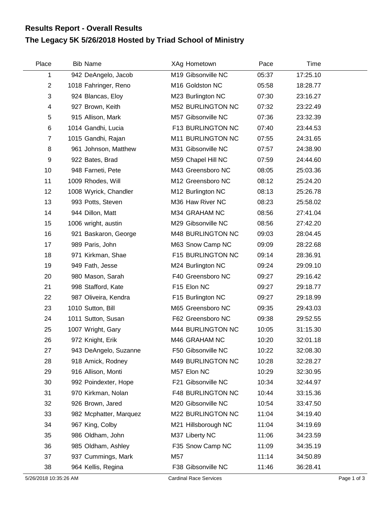## **The Legacy 5K 5/26/2018 Hosted by Triad School of Ministry Results Report - Overall Results**

| Place          | <b>Bib Name</b>        | XAg Hometown        | Pace  | Time     |  |
|----------------|------------------------|---------------------|-------|----------|--|
| 1              | 942 DeAngelo, Jacob    | M19 Gibsonville NC  | 05:37 | 17:25.10 |  |
| $\overline{2}$ | 1018 Fahringer, Reno   | M16 Goldston NC     | 05:58 | 18:28.77 |  |
| $\sqrt{3}$     | 924 Blancas, Eloy      | M23 Burlington NC   | 07:30 | 23:16.27 |  |
| $\overline{4}$ | 927 Brown, Keith       | M52 BURLINGTON NC   | 07:32 | 23:22.49 |  |
| 5              | 915 Allison, Mark      | M57 Gibsonville NC  | 07:36 | 23:32.39 |  |
| 6              | 1014 Gandhi, Lucia     | F13 BURLINGTON NC   | 07:40 | 23:44.53 |  |
| $\overline{7}$ | 1015 Gandhi, Rajan     | M11 BURLINGTON NC   | 07:55 | 24:31.65 |  |
| 8              | 961 Johnson, Matthew   | M31 Gibsonville NC  | 07:57 | 24:38.90 |  |
| 9              | 922 Bates, Brad        | M59 Chapel Hill NC  | 07:59 | 24:44.60 |  |
| 10             | 948 Farneti, Pete      | M43 Greensboro NC   | 08:05 | 25:03.36 |  |
| 11             | 1009 Rhodes, Will      | M12 Greensboro NC   | 08:12 | 25:24.20 |  |
| 12             | 1008 Wyrick, Chandler  | M12 Burlington NC   | 08:13 | 25:26.78 |  |
| 13             | 993 Potts, Steven      | M36 Haw River NC    | 08:23 | 25:58.02 |  |
| 14             | 944 Dillon, Matt       | M34 GRAHAM NC       | 08:56 | 27:41.04 |  |
| 15             | 1006 wright, austin    | M29 Gibsonville NC  | 08:56 | 27:42.20 |  |
| 16             | 921 Baskaron, George   | M48 BURLINGTON NC   | 09:03 | 28:04.45 |  |
| 17             | 989 Paris, John        | M63 Snow Camp NC    | 09:09 | 28:22.68 |  |
| 18             | 971 Kirkman, Shae      | F15 BURLINGTON NC   | 09:14 | 28:36.91 |  |
| 19             | 949 Fath, Jesse        | M24 Burlington NC   | 09:24 | 29:09.10 |  |
| 20             | 980 Mason, Sarah       | F40 Greensboro NC   | 09:27 | 29:16.42 |  |
| 21             | 998 Stafford, Kate     | F15 Elon NC         | 09:27 | 29:18.77 |  |
| 22             | 987 Oliveira, Kendra   | F15 Burlington NC   | 09:27 | 29:18.99 |  |
| 23             | 1010 Sutton, Bill      | M65 Greensboro NC   | 09:35 | 29:43.03 |  |
| 24             | 1011 Sutton, Susan     | F62 Greensboro NC   | 09:38 | 29:52.55 |  |
| 25             | 1007 Wright, Gary      | M44 BURLINGTON NC   | 10:05 | 31:15.30 |  |
| 26             | 972 Knight, Erik       | M46 GRAHAM NC       | 10:20 | 32:01.18 |  |
| 27             | 943 DeAngelo, Suzanne  | F50 Gibsonville NC  | 10:22 | 32:08.30 |  |
| 28             | 918 Amick, Rodney      | M49 BURLINGTON NC   | 10:28 | 32:28.27 |  |
| 29             | 916 Allison, Monti     | M57 Elon NC         | 10:29 | 32:30.95 |  |
| 30             | 992 Poindexter, Hope   | F21 Gibsonville NC  | 10:34 | 32:44.97 |  |
| 31             | 970 Kirkman, Nolan     | F48 BURLINGTON NC   | 10:44 | 33:15.36 |  |
| 32             | 926 Brown, Jared       | M20 Gibsonville NC  | 10:54 | 33:47.50 |  |
| 33             | 982 Mcphatter, Marquez | M22 BURLINGTON NC   | 11:04 | 34:19.40 |  |
| 34             | 967 King, Colby        | M21 Hillsborough NC | 11:04 | 34:19.69 |  |
| 35             | 986 Oldham, John       | M37 Liberty NC      | 11:06 | 34:23.59 |  |
| 36             | 985 Oldham, Ashley     | F35 Snow Camp NC    | 11:09 | 34:35.19 |  |
| 37             | 937 Cummings, Mark     | M57                 | 11:14 | 34:50.89 |  |
| 38             | 964 Kellis, Regina     | F38 Gibsonville NC  | 11:46 | 36:28.41 |  |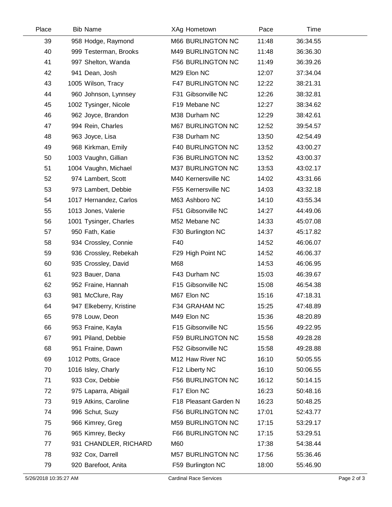| Place | <b>Bib Name</b>         | XAg Hometown             | Pace  | Time     |  |
|-------|-------------------------|--------------------------|-------|----------|--|
| 39    | 958 Hodge, Raymond      | M66 BURLINGTON NC        | 11:48 | 36:34.55 |  |
| 40    | 999 Testerman, Brooks   | M49 BURLINGTON NC        | 11:48 | 36:36.30 |  |
| 41    | 997 Shelton, Wanda      | F56 BURLINGTON NC        | 11:49 | 36:39.26 |  |
| 42    | 941 Dean, Josh          | M29 Elon NC              | 12:07 | 37:34.04 |  |
| 43    | 1005 Wilson, Tracy      | F47 BURLINGTON NC        | 12:22 | 38:21.31 |  |
| 44    | 960 Johnson, Lynnsey    | F31 Gibsonville NC       | 12:26 | 38:32.81 |  |
| 45    | 1002 Tysinger, Nicole   | F19 Mebane NC            | 12:27 | 38:34.62 |  |
| 46    | 962 Joyce, Brandon      | M38 Durham NC            | 12:29 | 38:42.61 |  |
| 47    | 994 Rein, Charles       | M67 BURLINGTON NC        | 12:52 | 39:54.57 |  |
| 48    | 963 Joyce, Lisa         | F38 Durham NC            | 13:50 | 42:54.49 |  |
| 49    | 968 Kirkman, Emily      | F40 BURLINGTON NC        | 13:52 | 43:00.27 |  |
| 50    | 1003 Vaughn, Gillian    | F36 BURLINGTON NC        | 13:52 | 43:00.37 |  |
| 51    | 1004 Vaughn, Michael    | M37 BURLINGTON NC        | 13:53 | 43:02.17 |  |
| 52    | 974 Lambert, Scott      | M40 Kernersville NC      | 14:02 | 43:31.66 |  |
| 53    | 973 Lambert, Debbie     | F55 Kernersville NC      | 14:03 | 43:32.18 |  |
| 54    | 1017 Hernandez, Carlos  | M63 Ashboro NC           | 14:10 | 43:55.34 |  |
| 55    | 1013 Jones, Valerie     | F51 Gibsonville NC       | 14:27 | 44:49.06 |  |
| 56    | 1001 Tysinger, Charles  | M52 Mebane NC            | 14:33 | 45:07.08 |  |
| 57    | 950 Fath, Katie         | F30 Burlington NC        | 14:37 | 45:17.82 |  |
| 58    | 934 Crossley, Connie    | F40                      | 14:52 | 46:06.07 |  |
| 59    | 936 Crossley, Rebekah   | F29 High Point NC        | 14:52 | 46:06.37 |  |
| 60    | 935 Crossley, David     | M68                      | 14:53 | 46:06.95 |  |
| 61    | 923 Bauer, Dana         | F43 Durham NC            | 15:03 | 46:39.67 |  |
| 62    | 952 Fraine, Hannah      | F15 Gibsonville NC       | 15:08 | 46:54.38 |  |
| 63    | 981 McClure, Ray        | M67 Elon NC              | 15:16 | 47:18.31 |  |
| 64    | 947 Elkeberry, Kristine | F34 GRAHAM NC            | 15:25 | 47:48.89 |  |
| 65    | 978 Louw, Deon          | M49 Elon NC              | 15:36 | 48:20.89 |  |
| 66    | 953 Fraine, Kayla       | F15 Gibsonville NC       | 15:56 | 49:22.95 |  |
| 67    | 991 Piland, Debbie      | <b>F59 BURLINGTON NC</b> | 15:58 | 49:28.28 |  |
| 68    | 951 Fraine, Dawn        | F52 Gibsonville NC       | 15:58 | 49:28.88 |  |
| 69    | 1012 Potts, Grace       | M12 Haw River NC         | 16:10 | 50:05.55 |  |
| 70    | 1016 Isley, Charly      | F12 Liberty NC           | 16:10 | 50:06.55 |  |
| 71    | 933 Cox, Debbie         | F56 BURLINGTON NC        | 16:12 | 50:14.15 |  |
| 72    | 975 Laparra, Abigail    | F17 Elon NC              | 16:23 | 50:48.16 |  |
| 73    | 919 Atkins, Caroline    | F18 Pleasant Garden N    | 16:23 | 50:48.25 |  |
| 74    | 996 Schut, Suzy         | F56 BURLINGTON NC        | 17:01 | 52:43.77 |  |
| 75    | 966 Kimrey, Greg        | M59 BURLINGTON NC        | 17:15 | 53:29.17 |  |
| 76    | 965 Kimrey, Becky       | F66 BURLINGTON NC        | 17:15 | 53:29.51 |  |
| 77    | 931 CHANDLER, RICHARD   | M60                      | 17:38 | 54:38.44 |  |
| 78    | 932 Cox, Darrell        | M57 BURLINGTON NC        | 17:56 | 55:36.46 |  |
| 79    | 920 Barefoot, Anita     | F59 Burlington NC        | 18:00 | 55:46.90 |  |